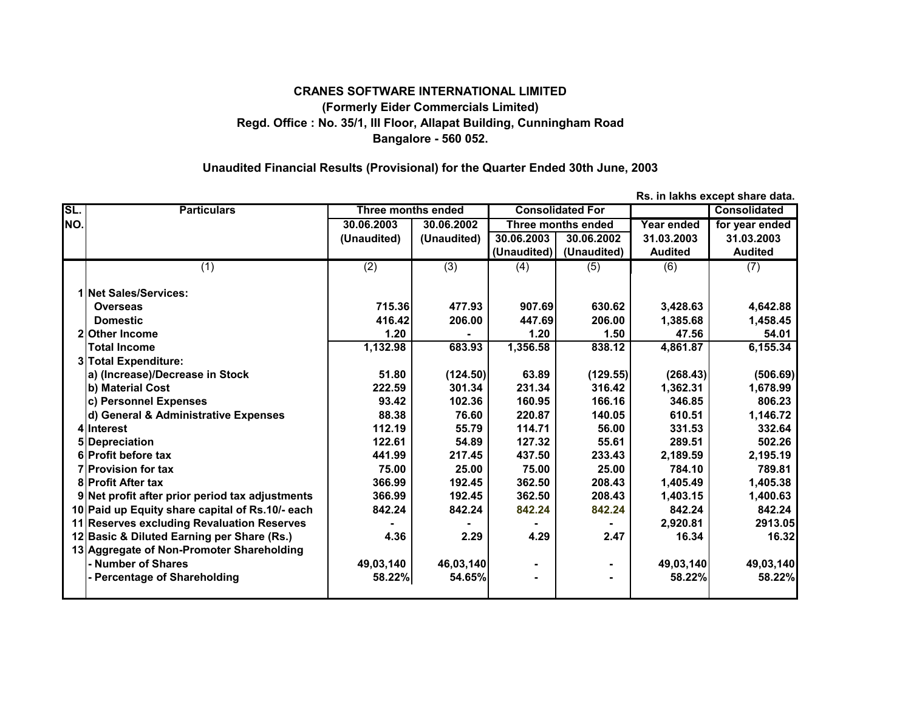## **CRANES SOFTWARE INTERNATIONAL LIMITED (Formerly Eider Commercials Limited) Regd. Office : No. 35/1, III Floor, Allapat Building, Cunningham Road Bangalore - 560 052.**

## **Unaudited Financial Results (Provisional) for the Quarter Ended 30th June, 2003**

**SL. Particulars Consolidated Three months ended Consolidated ForNO. 30.06.2003 30.06.2002 Year ended for year ended Three months ended (Unaudited) (Unaudited) 30.06.2003 30.06.2002 31.03.2003 31.03.2003 (Unaudited) (Unaudited) Audited Audited** (1) (2) (3) (4) (5) (6) (7) **1 Net Sales/Services: Overseas 715.36 477.93 907.69 630.62 3,428.63 4,642.88 Domestic 416.42 206.00 447.69 206.00 1,385.68 1,458.45 2 Other Income 1.20 - 1.20 1.50 47.56 54.01 Total Income 1,132.98 683.93 1,356.58 838.12 4,861.87 6,155.34 3 Total Expenditure: a) (Increase)/Decrease in Stock 51.80 (124.50) 63.89 (129.55) (268.43) (506.69) b) Material Cost 222.59 301.34 231.34 316.42 1,362.31 1,678.99 c) Personnel Expenses 93.42 102.36 160.95 166.16 346.85 806.23 d) General & Administrative Expenses 140.38 160 160.60 1220.87 140.05 1610.51 1,146.72 4 Interest 112.19 55.79 114.71 56.00 331.53 332.64 5 Depreciation 122.61 54.89 127.32 55.61 289.51 502.26 6 Profit before tax 441.99 217.45 437.50 233.43 2,189.59 2,195.19 7 Provision for tax 75.00 25.00 75.00 25.00 784.10 789.81 8 Profit After tax 366.99 192.45 362.50 208.43 1,405.49 1,405.38 9 Net profit after prior period tax adjustments 366.99 192.45 362.50 208.43 1,403.15 1,400.63** 10 **Paid up Equity share capital of Rs.10/-** each | 842.24 842.24 842.24 842.24 842.24 842.24 842.24 842.24 11 **Reserves excluding Revaluation Reserves | Case | Case | Case | Case | 2913.05 | 2,920.81** | 2913.05 **12 Basic & Diluted Earning per Share (Rs.) 4.36 2.29 4.29 2.47 16.34 16.32 13 Aggregate of Non-Promoter Shareholding - Number of Shares 49,03,140 46,03,140 - - 49,03,140 49,03,140 - Percentage of Shareholding 58.22% 54.65% - - 58.22% 58.22%**

**Rs. in lakhs except share data.**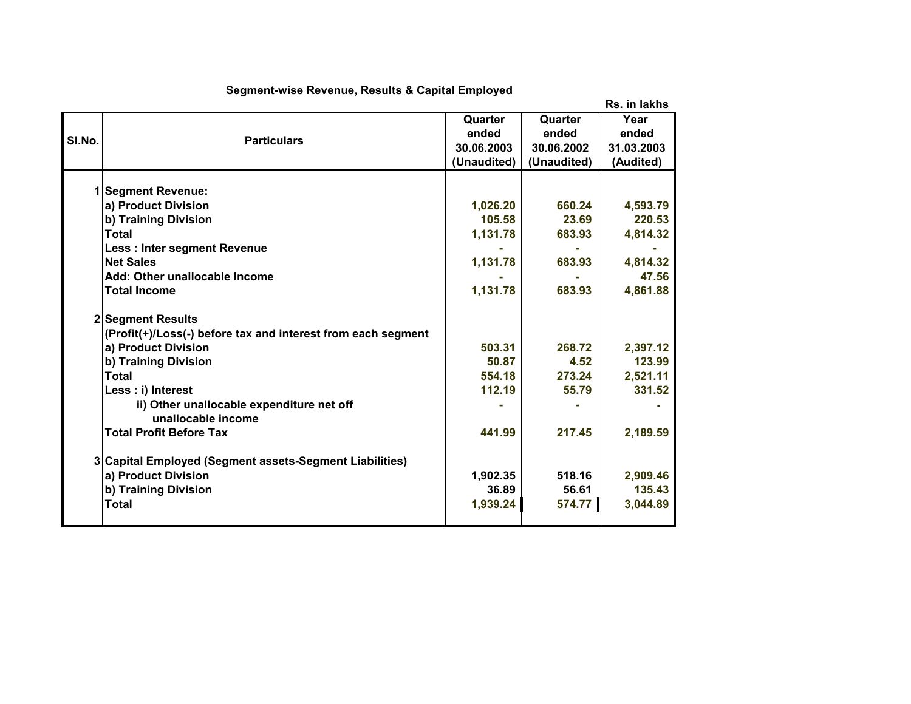|        |                                                              |             |             | Rs. in lakhs |
|--------|--------------------------------------------------------------|-------------|-------------|--------------|
|        |                                                              | Quarter     | Quarter     | Year         |
| SI.No. | <b>Particulars</b>                                           | ended       | ended       | ended        |
|        |                                                              | 30.06.2003  | 30.06.2002  | 31.03.2003   |
|        |                                                              | (Unaudited) | (Unaudited) | (Audited)    |
|        |                                                              |             |             |              |
|        | <b>Segment Revenue:</b>                                      |             |             |              |
|        | a) Product Division                                          | 1,026.20    | 660.24      | 4,593.79     |
|        | b) Training Division                                         | 105.58      | 23.69       | 220.53       |
|        | Total                                                        | 1,131.78    | 683.93      | 4,814.32     |
|        | <b>Less: Inter segment Revenue</b>                           |             |             |              |
|        | <b>Net Sales</b>                                             | 1,131.78    | 683.93      | 4,814.32     |
|        | Add: Other unallocable Income                                |             |             | 47.56        |
|        | <b>Total Income</b>                                          | 1,131.78    | 683.93      | 4,861.88     |
|        | 2 Segment Results                                            |             |             |              |
|        | (Profit(+)/Loss(-) before tax and interest from each segment |             |             |              |
|        | a) Product Division                                          | 503.31      | 268.72      | 2,397.12     |
|        | b) Training Division                                         | 50.87       | 4.52        | 123.99       |
|        | <b>Total</b>                                                 | 554.18      | 273.24      | 2,521.11     |
|        | Less : i) Interest                                           | 112.19      | 55.79       | 331.52       |
|        | ii) Other unallocable expenditure net off                    |             |             |              |
|        | unallocable income                                           |             |             |              |
|        | <b>Total Profit Before Tax</b>                               | 441.99      | 217.45      | 2,189.59     |
|        | 3 Capital Employed (Segment assets-Segment Liabilities)      |             |             |              |
|        | a) Product Division                                          | 1,902.35    | 518.16      | 2,909.46     |
|        | b) Training Division                                         | 36.89       | 56.61       | 135.43       |
|        | <b>Total</b>                                                 | 1,939.24    | 574.77      | 3,044.89     |
|        |                                                              |             |             |              |

## **Segment-wise Revenue, Results & Capital Employed**